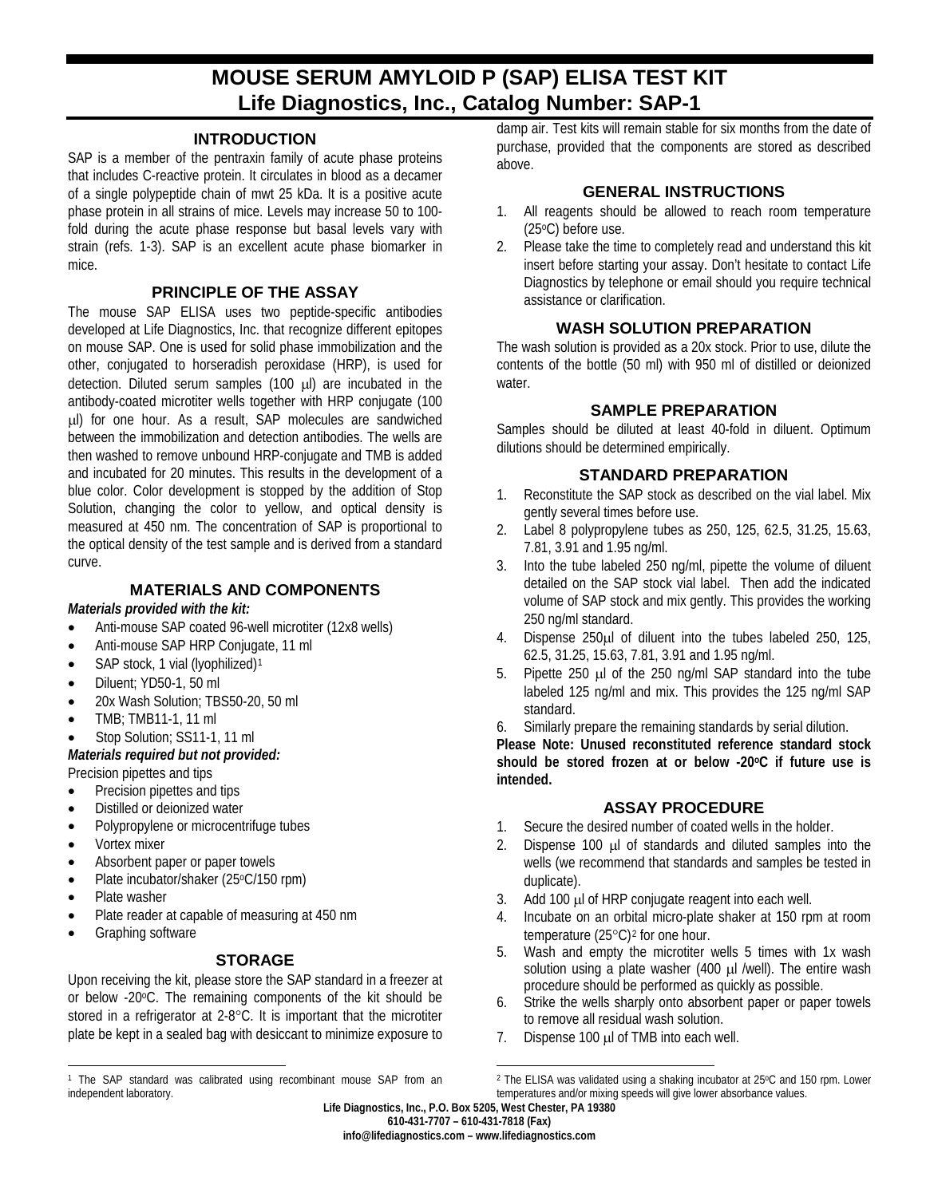# **MOUSE SERUM AMYLOID P (SAP) ELISA TEST KIT Life Diagnostics, Inc., Catalog Number: SAP-1**

## **INTRODUCTION**

SAP is a member of the pentraxin family of acute phase proteins that includes C-reactive protein. It circulates in blood as a decamer of a single polypeptide chain of mwt 25 kDa. It is a positive acute phase protein in all strains of mice. Levels may increase 50 to 100 fold during the acute phase response but basal levels vary with strain (refs. 1-3). SAP is an excellent acute phase biomarker in mice.

## **PRINCIPLE OF THE ASSAY**

The mouse SAP ELISA uses two peptide-specific antibodies developed at Life Diagnostics, Inc. that recognize different epitopes on mouse SAP. One is used for solid phase immobilization and the other, conjugated to horseradish peroxidase (HRP), is used for detection. Diluted serum samples (100 µl) are incubated in the antibody-coated microtiter wells together with HRP conjugate (100 µl) for one hour. As a result, SAP molecules are sandwiched between the immobilization and detection antibodies. The wells are then washed to remove unbound HRP-conjugate and TMB is added and incubated for 20 minutes. This results in the development of a blue color. Color development is stopped by the addition of Stop Solution, changing the color to yellow, and optical density is measured at 450 nm. The concentration of SAP is proportional to the optical density of the test sample and is derived from a standard curve.

# **MATERIALS AND COMPONENTS**

#### *Materials provided with the kit:*

- Anti-mouse SAP coated 96-well microtiter (12x8 wells)
- Anti-mouse SAP HRP Conjugate, 11 ml
- SAP stock, [1](#page-0-0) vial (lyophilized)<sup>1</sup>
- Diluent; YD50-1, 50 ml
- 20x Wash Solution; TBS50-20, 50 ml
- TMB; TMB11-1, 11 ml
- Stop Solution; SS11-1, 11 ml

## *Materials required but not provided:* Precision pipettes and tips

- Precision pipettes and tips
- Distilled or deionized water
- Polypropylene or microcentrifuge tubes
- Vortex mixer
- Absorbent paper or paper towels
- Plate incubator/shaker (25°C/150 rpm)
- Plate washer

 $\overline{a}$ 

- Plate reader at capable of measuring at 450 nm
- Graphing software

## **STORAGE**

Upon receiving the kit, please store the SAP standard in a freezer at or below -20oC. The remaining components of the kit should be stored in a refrigerator at 2-8°C. It is important that the microtiter plate be kept in a sealed bag with desiccant to minimize exposure to damp air. Test kits will remain stable for six months from the date of purchase, provided that the components are stored as described above.

# **GENERAL INSTRUCTIONS**

- 1. All reagents should be allowed to reach room temperature (25oC) before use.
- 2. Please take the time to completely read and understand this kit insert before starting your assay. Don't hesitate to contact Life Diagnostics by telephone or email should you require technical assistance or clarification.

# **WASH SOLUTION PREPARATION**

The wash solution is provided as a 20x stock. Prior to use, dilute the contents of the bottle (50 ml) with 950 ml of distilled or deionized water.

# **SAMPLE PREPARATION**

Samples should be diluted at least 40-fold in diluent. Optimum dilutions should be determined empirically.

# **STANDARD PREPARATION**

- 1. Reconstitute the SAP stock as described on the vial label. Mix gently several times before use.
- 2. Label 8 polypropylene tubes as 250, 125, 62.5, 31.25, 15.63, 7.81, 3.91 and 1.95 ng/ml.
- 3. Into the tube labeled 250 ng/ml, pipette the volume of diluent detailed on the SAP stock vial label. Then add the indicated volume of SAP stock and mix gently. This provides the working 250 ng/ml standard.
- 4. Dispense 250µl of diluent into the tubes labeled 250, 125, 62.5, 31.25, 15.63, 7.81, 3.91 and 1.95 ng/ml.
- 5. Pipette 250 µl of the 250 ng/ml SAP standard into the tube labeled 125 ng/ml and mix. This provides the 125 ng/ml SAP standard.
- 6. Similarly prepare the remaining standards by serial dilution.

**Please Note: Unused reconstituted reference standard stock**  should be stored frozen at or below -20<sup>o</sup>C if future use is **intended.**

# **ASSAY PROCEDURE**

- 1. Secure the desired number of coated wells in the holder.
- 2. Dispense 100 µl of standards and diluted samples into the wells (we recommend that standards and samples be tested in duplicate).
- 3. Add 100 µl of HRP conjugate reagent into each well.
- 4. Incubate on an orbital micro-plate shaker at 150 rpm at room temperature  $(25^{\circ}C)^{2}$  $(25^{\circ}C)^{2}$  $(25^{\circ}C)^{2}$  for one hour.
- 5. Wash and empty the microtiter wells 5 times with 1x wash solution using a plate washer (400 µl /well). The entire wash procedure should be performed as quickly as possible.
- 6. Strike the wells sharply onto absorbent paper or paper towels to remove all residual wash solution.
- 7. Dispense 100 µl of TMB into each well.

<span id="page-0-0"></span><sup>&</sup>lt;sup>1</sup> The SAP standard was calibrated using recombinant mouse SAP from an independent laboratory.

 $\overline{a}$ <sup>2</sup> The ELISA was validated using a shaking incubator at 25°C and 150 rpm. Lower temperatures and/or mixing speeds will give lower absorbance values.